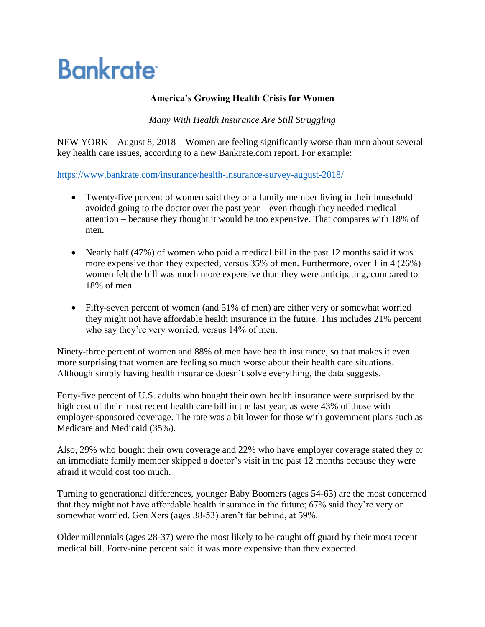## **Bankrate**

## **America's Growing Health Crisis for Women**

*Many With Health Insurance Are Still Struggling*

NEW YORK – August 8, 2018 – Women are feeling significantly worse than men about several key health care issues, according to a new Bankrate.com report. For example:

<https://www.bankrate.com/insurance/health-insurance-survey-august-2018/>

- Twenty-five percent of women said they or a family member living in their household avoided going to the doctor over the past year – even though they needed medical attention – because they thought it would be too expensive. That compares with 18% of men.
- Nearly half (47%) of women who paid a medical bill in the past 12 months said it was more expensive than they expected, versus 35% of men. Furthermore, over 1 in 4 (26%) women felt the bill was much more expensive than they were anticipating, compared to 18% of men.
- Fifty-seven percent of women (and 51% of men) are either very or somewhat worried they might not have affordable health insurance in the future. This includes 21% percent who say they're very worried, versus 14% of men.

Ninety-three percent of women and 88% of men have health insurance, so that makes it even more surprising that women are feeling so much worse about their health care situations. Although simply having health insurance doesn't solve everything, the data suggests.

Forty-five percent of U.S. adults who bought their own health insurance were surprised by the high cost of their most recent health care bill in the last year, as were 43% of those with employer-sponsored coverage. The rate was a bit lower for those with government plans such as Medicare and Medicaid (35%).

Also, 29% who bought their own coverage and 22% who have employer coverage stated they or an immediate family member skipped a doctor's visit in the past 12 months because they were afraid it would cost too much.

Turning to generational differences, younger Baby Boomers (ages 54-63) are the most concerned that they might not have affordable health insurance in the future; 67% said they're very or somewhat worried. Gen Xers (ages 38-53) aren't far behind, at 59%.

Older millennials (ages 28-37) were the most likely to be caught off guard by their most recent medical bill. Forty-nine percent said it was more expensive than they expected.